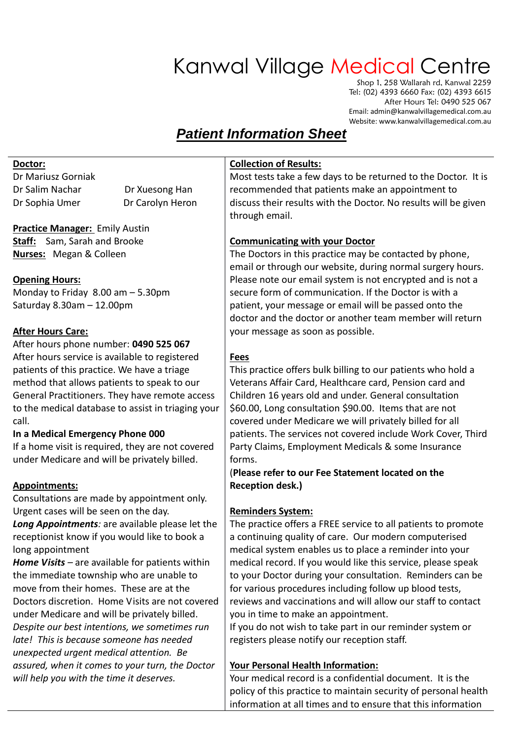# Kanwal Village Medical Centre

Shop 1, 258 Wallarah rd, Kanwal 2259 Tel: (02) 4393 6660 Fax: (02) 4393 6615 After Hours Tel: 0490 525 067 Email[: ad](mailto:kvmc.admin@commander.net.au)min@kanwalvillagemedical.com.au Website: www.kanwalvillagemedical.com.au

### *Patient Information Sheet*

#### **Doctor:**

Dr Mariusz Gorniak Dr Salim Nachar Dr Xuesong Han Dr Sophia Umer Dr Carolyn Heron

### **Practice Manager:** Emily Austin

**Staff:** Sam, Sarah and Brooke **Nurses:** Megan & Colleen

#### **Opening Hours:**

Monday to Friday 8.00 am – 5.30pm Saturday 8.30am – 12.00pm

#### **After Hours Care:**

After hours phone number: **0490 525 067** After hours service is available to registered patients of this practice. We have a triage method that allows patients to speak to our General Practitioners. They have remote access to the medical database to assist in triaging your call.

#### **In a Medical Emergency Phone 000**

If a home visit is required, they are not covered under Medicare and will be privately billed.

#### **Appointments:**

Consultations are made by appointment only. Urgent cases will be seen on the day. *Long Appointments:* are available please let the receptionist know if you would like to book a long appointment

*Home Visits –* are available for patients within the immediate township who are unable to move from their homes. These are at the Doctors discretion. Home Visits are not covered under Medicare and will be privately billed. *Despite our best intentions, we sometimes run late! This is because someone has needed unexpected urgent medical attention. Be assured, when it comes to your turn, the Doctor will help you with the time it deserves.*

#### **Collection of Results:**

Most tests take a few days to be returned to the Doctor. It is recommended that patients make an appointment to discuss their results with the Doctor. No results will be given through email.

#### **Communicating with your Doctor**

The Doctors in this practice may be contacted by phone, email or through our website, during normal surgery hours. Please note our email system is not encrypted and is not a secure form of communication. If the Doctor is with a patient, your message or email will be passed onto the doctor and the doctor or another team member will return your message as soon as possible.

#### **Fees**

This practice offers bulk billing to our patients who hold a Veterans Affair Card, Healthcare card, Pension card and Children 16 years old and under. General consultation \$60.00, Long consultation \$90.00. Items that are not covered under Medicare we will privately billed for all patients. The services not covered include Work Cover, Third Party Claims, Employment Medicals & some Insurance forms.

#### (**Please refer to our Fee Statement located on the Reception desk.)**

#### **Reminders System:**

The practice offers a FREE service to all patients to promote a continuing quality of care. Our modern computerised medical system enables us to place a reminder into your medical record. If you would like this service, please speak to your Doctor during your consultation. Reminders can be for various procedures including follow up blood tests, reviews and vaccinations and will allow our staff to contact you in time to make an appointment.

If you do not wish to take part in our reminder system or registers please notify our reception staff.

#### **Your Personal Health Information:**

Your medical record is a confidential document. It is the policy of this practice to maintain security of personal health information at all times and to ensure that this information